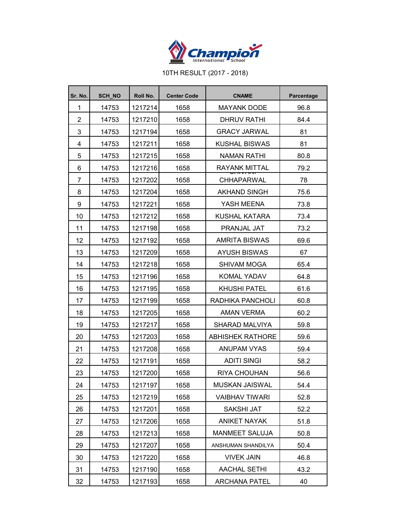

10TH RESULT (2017 - 2018)

| Sr. No.        | <b>SCH NO</b> | Roll No. | <b>Center Code</b> | <b>CNAME</b>            | Parcentage |
|----------------|---------------|----------|--------------------|-------------------------|------------|
| 1              | 14753         | 1217214  | 1658               | <b>MAYANK DODE</b>      | 96.8       |
| $\overline{2}$ | 14753         | 1217210  | 1658               | <b>DHRUV RATHI</b>      | 84.4       |
| 3              | 14753         | 1217194  | 1658               | <b>GRACY JARWAL</b>     | 81         |
| 4              | 14753         | 1217211  | 1658               | <b>KUSHAL BISWAS</b>    | 81         |
| 5              | 14753         | 1217215  | 1658               | NAMAN RATHI             | 80.8       |
| 6              | 14753         | 1217216  | 1658               | RAYANK MITTAL           | 79.2       |
| 7              | 14753         | 1217202  | 1658               | CHHAPARWAL              | 78         |
| 8              | 14753         | 1217204  | 1658               | <b>AKHAND SINGH</b>     | 75.6       |
| 9              | 14753         | 1217221  | 1658               | YASH MEENA              | 73.8       |
| 10             | 14753         | 1217212  | 1658               | KUSHAL KATARA           | 73.4       |
| 11             | 14753         | 1217198  | 1658               | <b>PRANJAL JAT</b>      | 73.2       |
| 12             | 14753         | 1217192  | 1658               | <b>AMRITA BISWAS</b>    | 69.6       |
| 13             | 14753         | 1217209  | 1658               | <b>AYUSH BISWAS</b>     | 67         |
| 14             | 14753         | 1217218  | 1658               | <b>SHIVAM MOGA</b>      | 65.4       |
| 15             | 14753         | 1217196  | 1658               | KOMAL YADAV             | 64.8       |
| 16             | 14753         | 1217195  | 1658               | <b>KHUSHI PATEL</b>     | 61.6       |
| 17             | 14753         | 1217199  | 1658               | RADHIKA PANCHOLI        | 60.8       |
| 18             | 14753         | 1217205  | 1658               | AMAN VERMA              | 60.2       |
| 19             | 14753         | 1217217  | 1658               | SHARAD MALVIYA          | 59.8       |
| 20             | 14753         | 1217203  | 1658               | <b>ABHISHEK RATHORE</b> | 59.6       |
| 21             | 14753         | 1217208  | 1658               | ANUPAM VYAS             | 59.4       |
| 22             | 14753         | 1217191  | 1658               | <b>ADITI SINGI</b>      | 58.2       |
| 23             | 14753         | 1217200  | 1658               | RIYA CHOUHAN            | 56.6       |
| 24             | 14753         | 1217197  | 1658               | MUSKAN JAISWAL          | 54.4       |
| 25             | 14753         | 1217219  | 1658               | <b>VAIBHAV TIWARI</b>   | 52.8       |
| 26             | 14753         | 1217201  | 1658               | SAKSHI JAT              | 52.2       |
| 27             | 14753         | 1217206  | 1658               | <b>ANIKET NAYAK</b>     | 51.8       |
| 28             | 14753         | 1217213  | 1658               | <b>MANMEET SALUJA</b>   | 50.8       |
| 29             | 14753         | 1217207  | 1658               | ANSHUMAN SHANDILYA      | 50.4       |
| 30             | 14753         | 1217220  | 1658               | <b>VIVEK JAIN</b>       | 46.8       |
| 31             | 14753         | 1217190  | 1658               | <b>AACHAL SETHI</b>     | 43.2       |
| 32             | 14753         | 1217193  | 1658               | <b>ARCHANA PATEL</b>    | 40         |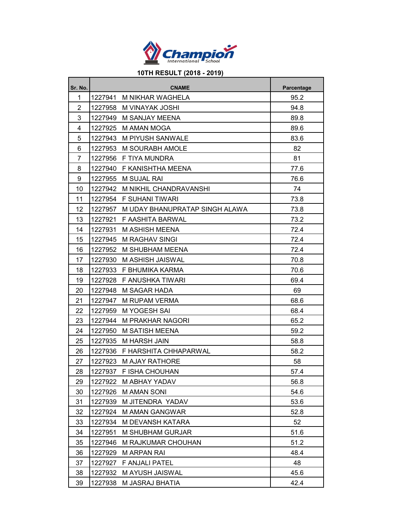

## **10TH RESULT (2018 - 2019)**

| Sr. No.        |         | Parcentage                     |      |
|----------------|---------|--------------------------------|------|
| 1              | 1227941 | M NIKHAR WAGHELA               | 95.2 |
| $\overline{2}$ | 1227958 | M VINAYAK JOSHI                | 94.8 |
| 3              | 1227949 | M SANJAY MEENA                 | 89.8 |
| 4              | 1227925 | M AMAN MOGA                    | 89.6 |
| 5              | 1227943 | M PIYUSH SANWALE               | 83.6 |
| 6              | 1227953 | M SOURABH AMOLE                | 82   |
| $\overline{7}$ | 1227956 | F TIYA MUNDRA                  | 81   |
| 8              | 1227940 | F KANISHTHA MEENA              | 77.6 |
| 9              | 1227955 | M SUJAL RAI                    | 76.6 |
| 10             | 1227942 | M NIKHIL CHANDRAVANSHI         | 74   |
| 11             | 1227954 | F SUHANI TIWARI                | 73.8 |
| 12             | 1227957 | M UDAY BHANUPRATAP SINGH ALAWA | 73.8 |
| 13             | 1227921 | F AASHITA BARWAL               | 73.2 |
| 14             | 1227931 | M ASHISH MEENA                 | 72.4 |
| 15             | 1227945 | <b>M RAGHAV SINGI</b>          | 72.4 |
| 16             | 1227952 | M SHUBHAM MEENA                | 72.4 |
| 17             | 1227930 | M ASHISH JAISWAL               | 70.8 |
| 18             |         | 1227933 F BHUMIKA KARMA        | 70.6 |
| 19             | 1227928 | F ANUSHKA TIWARI               | 69.4 |
| 20             | 1227948 | M SAGAR HADA                   | 69   |
| 21             | 1227947 | M RUPAM VERMA                  | 68.6 |
| 22             | 1227959 | M YOGESH SAI                   | 68.4 |
| 23             | 1227944 | M PRAKHAR NAGORI               | 65.2 |
| 24             | 1227950 | M SATISH MEENA                 | 59.2 |
| 25             | 1227935 | <b>M HARSH JAIN</b>            | 58.8 |
| 26             | 1227936 | F HARSHITA CHHAPARWAL          | 58.2 |
| 27             | 1227923 | <b>M AJAY RATHORE</b>          | 58   |
| 28             | 1227937 | F ISHA CHOUHAN                 | 57.4 |
| 29             | 1227922 | M ABHAY YADAV                  | 56.8 |
| 30             | 1227926 | <b>M AMAN SONI</b>             | 54.6 |
| 31             | 1227939 | M JITENDRA YADAV               | 53.6 |
| 32             | 1227924 | <b>M AMAN GANGWAR</b>          | 52.8 |
| 33             | 1227934 | M DEVANSH KATARA               | 52   |
| 34             | 1227951 | M SHUBHAM GURJAR               | 51.6 |
| 35             | 1227946 | M RAJKUMAR CHOUHAN             | 51.2 |
| 36             | 1227929 | M ARPAN RAI                    | 48.4 |
| 37             | 1227927 | F ANJALI PATEL                 | 48   |
| 38             | 1227932 | M AYUSH JAISWAL                | 45.6 |
| 39             | 1227938 | M JASRAJ BHATIA                | 42.4 |